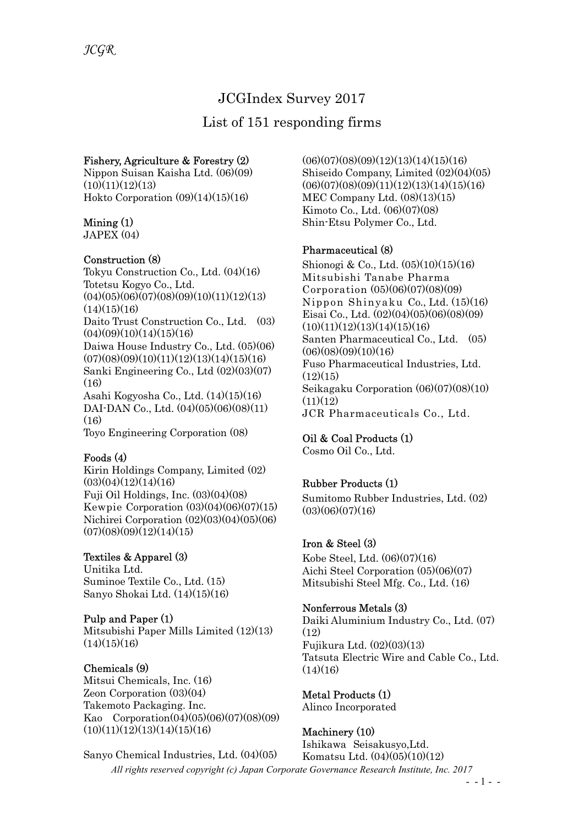# JCGIndex Survey 2017

# List of 151 responding firms

## Fishery, Agriculture & Forestry (2)

Nippon Suisan Kaisha Ltd. (06)(09)  $(10)(11)(12)(13)$ Hokto Corporation (09)(14)(15)(16)

## Mining (1)

 $JAPEX(04)$ 

### Construction (8)

Tokyu Construction Co., Ltd. (04)(16) Totetsu Kogyo Co., Ltd.  $(04)(05)(06)(07)(08)(09)(10)(11)(12)(13)$  $(14)(15)(16)$ Daito Trust Construction Co., Ltd. (03)  $(04)(09)(10)(14)(15)(16)$ Daiwa House Industry Co., Ltd. (05)(06)  $(07)(08)(09)(10)(11)(12)(13)(14)(15)(16)$ Sanki Engineering Co., Ltd (02)(03)(07)  $(16)$ Asahi Kogyosha Co., Ltd. (14)(15)(16) DAI-DAN Co., Ltd. (04)(05)(06)(08)(11)  $(16)$ Toyo Engineering Corporation (08)

### Foods (4)

Kirin Holdings Company, Limited (02)  $(03)(04)(12)(14)(16)$ Fuji Oil Holdings, Inc. (03)(04)(08) Kewpie Corporation (03)(04)(06)(07)(15) Nichirei Corporation (02)(03)(04)(05)(06)  $(07)(08)(09)(12)(14)(15)$ 

# Textiles & Apparel (3)

Unitika Ltd. Suminoe Textile Co., Ltd. (15) Sanyo Shokai Ltd. (14)(15)(16)

Pulp and Paper (1) Mitsubishi Paper Mills Limited (12)(13)  $(14)(15)(16)$ 

### Chemicals (9)

Mitsui Chemicals, Inc. (16) Zeon Corporation (03)(04) Takemoto Packaging. Inc. Kao Corporation(04)(05)(06)(07)(08)(09)  $(10)(11)(12)(13)(14)(15)(16)$ 

All rights reserved copyright (c) Japan Corporate Governance Research Institute, Inc. 2017 Sanyo Chemical Industries, Ltd. (04)(05) Komatsu Ltd. (04)(05)(10)(12)

 $(06)(07)(08)(09)(12)(13)(14)(15)(16)$ Shiseido Company, Limited (02)(04)(05)  $(06)(07)(08)(09)(11)(12)(13)(14)(15)(16)$ MEC Company Ltd. (08)(13)(15) Kimoto Co., Ltd. (06)(07)(08) Shin-Etsu Polymer Co., Ltd.

## Pharmaceutical (8)

Shionogi & Co., Ltd. (05)(10)(15)(16) Mitsubishi Tanabe Pharma Corporation (05)(06)(07)(08)(09) Nippon Shinyaku Co., Ltd. (15)(16) Eisai Co., Ltd. (02)(04)(05)(06)(08)(09)  $(10)(11)(12)(13)(14)(15)(16)$ Santen Pharmaceutical Co., Ltd. (05)  $(06)(08)(09)(10)(16)$ Fuso Pharmaceutical Industries, Ltd.  $(12)(15)$ Seikagaku Corporation (06)(07)(08)(10)  $(11)(12)$ JCR Pharmaceuticals Co., Ltd.

### Oil & Coal Products (1)

Cosmo Oil Co., Ltd.

# Rubber Products (1)

Sumitomo Rubber Industries, Ltd. (02)  $(03)(06)(07)(16)$ 

### Iron & Steel (3)

Kobe Steel, Ltd. (06)(07)(16) Aichi Steel Corporation (05)(06)(07) Mitsubishi Steel Mfg. Co., Ltd. (16)

### Nonferrous Metals (3)

Daiki Aluminium Industry Co., Ltd. (07)  $(12)$ Fujikura Ltd. (02)(03)(13) Tatsuta Electric Wire and Cable Co., Ltd.  $(14)(16)$ 

Metal Products (1) Alinco Incorporated

### Machinery (10)

Ishikawa Seisakusyo,Ltd.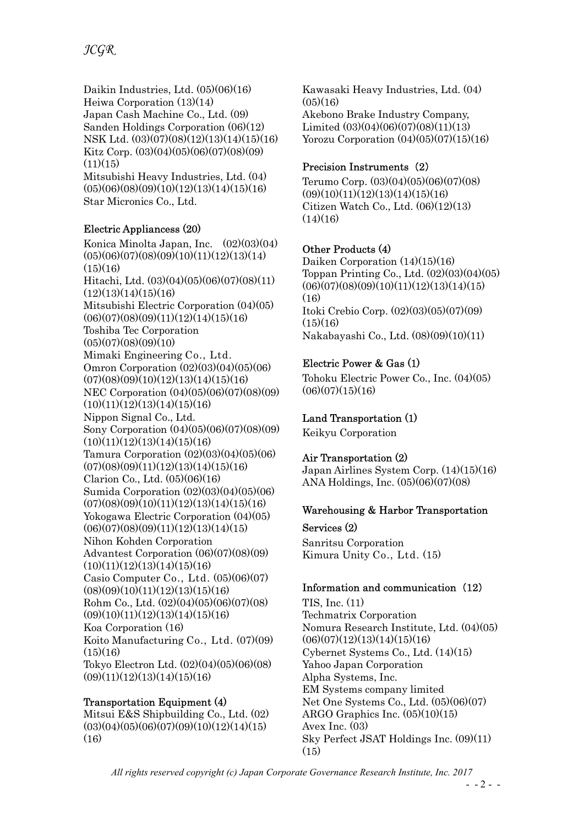Daikin Industries, Ltd. (05)(06)(16) Heiwa Corporation (13)(14) Japan Cash Machine Co., Ltd. (09) Sanden Holdings Corporation (06)(12) NSK Ltd. (03)(07)(08)(12)(13)(14)(15)(16) Kitz Corp. (03)(04)(05)(06)(07)(08)(09)  $(11)(15)$ Mitsubishi Heavy Industries, Ltd. (04)  $(05)(06)(08)(09)(10)(12)(13)(14)(15)(16)$ Star Micronics Co., Ltd.

## Electric Appliancess (20)

Konica Minolta Japan, Inc. (02)(03)(04)  $(05)(06)(07)(08)(09)(10)(11)(12)(13)(14)$  $(15)(16)$ Hitachi, Ltd. (03)(04)(05)(06)(07)(08)(11)  $(12)(13)(14)(15)(16)$ Mitsubishi Electric Corporation (04)(05)  $(06)(07)(08)(09)(11)(12)(14)(15)(16)$ Toshiba Tec Corporation  $(05)(07)(08)(09)(10)$ Mimaki Engineering Co., Ltd. Omron Corporation (02)(03)(04)(05)(06)  $(07)(08)(09)(10)(12)(13)(14)(15)(16)$ NEC Corporation (04)(05)(06)(07)(08)(09)  $(10)(11)(12)(13)(14)(15)(16)$ Nippon Signal Co., Ltd. Sony Corporation (04)(05)(06)(07)(08)(09)  $(10)(11)(12)(13)(14)(15)(16)$ Tamura Corporation (02)(03)(04)(05)(06)  $(07)(08)(09)(11)(12)(13)(14)(15)(16)$ Clarion Co., Ltd. (05)(06)(16) Sumida Corporation (02)(03)(04)(05)(06)  $(07)(08)(09)(10)(11)(12)(13)(14)(15)(16)$ Yokogawa Electric Corporation (04)(05)  $(06)(07)(08)(09)(11)(12)(13)(14)(15)$ Nihon Kohden Corporation Advantest Corporation (06)(07)(08)(09)  $(10)(11)(12)(13)(14)(15)(16)$ Casio Computer Co., Ltd. (05)(06)(07)  $(08)(09)(10)(11)(12)(13)(15)(16)$ Rohm Co., Ltd. (02)(04)(05)(06)(07)(08)  $(09)(10)(11)(12)(13)(14)(15)(16)$ Koa Corporation (16) Koito Manufacturing Co., Ltd. (07)(09)  $(15)(16)$ Tokyo Electron Ltd. (02)(04)(05)(06)(08)  $(09)(11)(12)(13)(14)(15)(16)$ 

### Transportation Equipment (4)

Mitsui E&S Shipbuilding Co., Ltd. (02)  $(03)(04)(05)(06)(07)(09)(10)(12)(14)(15)$  $(16)$ 

Kawasaki Heavy Industries, Ltd. (04)  $(05)(16)$ Akebono Brake Industry Company,

Limited (03)(04)(06)(07)(08)(11)(13) Yorozu Corporation (04)(05)(07)(15)(16)

## Precision Instruments (2)

Terumo Corp. (03)(04)(05)(06)(07)(08)  $(09)(10)(11)(12)(13)(14)(15)(16)$ Citizen Watch Co., Ltd. (06)(12)(13)  $(14)(16)$ 

# Other Products (4)

Daiken Corporation (14)(15)(16) Toppan Printing Co., Ltd. (02)(03)(04)(05)  $(06)(07)(08)(09)(10)(11)(12)(13)(14)(15)$  $(16)$ Itoki Crebio Corp. (02)(03)(05)(07)(09)  $(15)(16)$ Nakabayashi Co., Ltd. (08)(09)(10)(11)

# Electric Power & Gas (1)

Tohoku Electric Power Co., Inc. (04)(05)  $(06)(07)(15)(16)$ 

# Land Transportation (1)

Keikyu Corporation

# Air Transportation (2)

Japan Airlines System Corp. (14)(15)(16) ANA Holdings, Inc. (05)(06)(07)(08)

### Warehousing & Harbor Transportation

Services (2) Sanritsu Corporation Kimura Unity Co., Ltd. (15)

# Information and communication (12)

TIS, Inc. (11) Techmatrix Corporation Nomura Research Institute, Ltd. (04)(05)  $(06)(07)(12)(13)(14)(15)(16)$ Cybernet Systems Co., Ltd. (14)(15) Yahoo Japan Corporation Alpha Systems, Inc. EM Systems company limited Net One Systems Co., Ltd. (05)(06)(07) ARGO Graphics Inc. (05)(10)(15) Avex Inc. (03) Sky Perfect JSAT Holdings Inc. (09)(11)  $(15)$